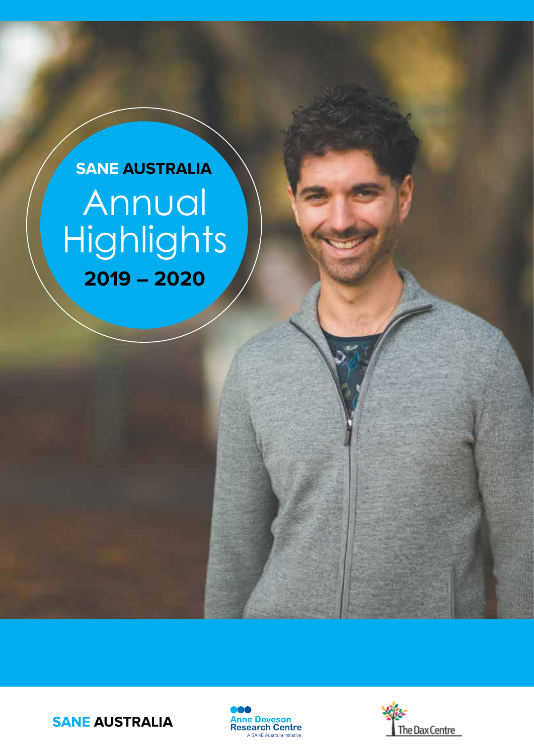# Annual **Highlights 2019 – 2020 SANE AUSTRALIA**





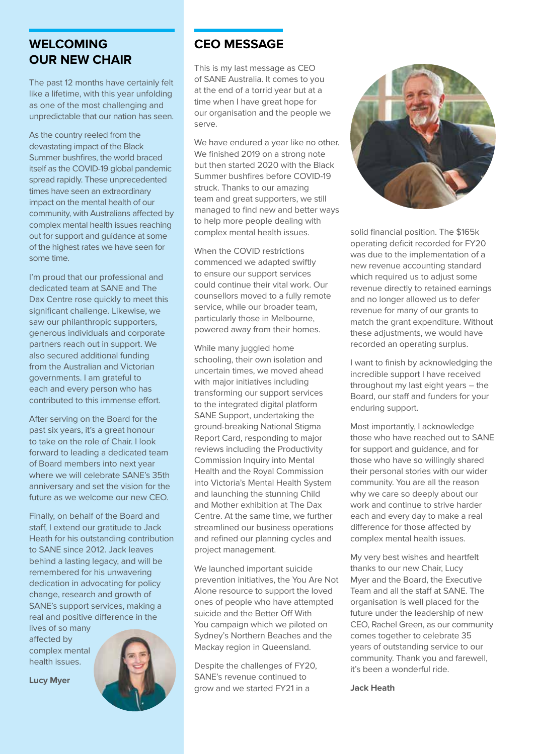## **WELCOMING OUR NEW CHAIR**

The past 12 months have certainly felt like a lifetime, with this year unfolding as one of the most challenging and unpredictable that our nation has seen.

As the country reeled from the devastating impact of the Black Summer bushfires, the world braced itself as the COVID-19 global pandemic spread rapidly. These unprecedented times have seen an extraordinary impact on the mental health of our community, with Australians affected by complex mental health issues reaching out for support and guidance at some of the highest rates we have seen for some time.

I'm proud that our professional and dedicated team at SANE and The Dax Centre rose quickly to meet this significant challenge. Likewise, we saw our philanthropic supporters. generous individuals and corporate partners reach out in support. We also secured additional funding from the Australian and Victorian governments. I am grateful to each and every person who has contributed to this immense effort.

After serving on the Board for the past six years, it's a great honour to take on the role of Chair. I look forward to leading a dedicated team of Board members into next year where we will celebrate SANE's 35th anniversary and set the vision for the future as we welcome our new CEO.

Finally, on behalf of the Board and staff, I extend our gratitude to Jack Heath for his outstanding contribution to SANE since 2012. Jack leaves behind a lasting legacy, and will be remembered for his unwavering dedication in advocating for policy change, research and growth of SANE's support services, making a real and positive difference in the

lives of so many affected by complex mental health issues.

**Lucy Myer**



## **CEO MESSAGE**

This is my last message as CEO of SANE Australia. It comes to you at the end of a torrid year but at a time when I have great hope for our organisation and the people we serve.

We have endured a year like no other. We finished 2019 on a strong note but then started 2020 with the Black Summer bushfires before COVID-19 struck. Thanks to our amazing team and great supporters, we still managed to find new and better ways to help more people dealing with complex mental health issues.

When the COVID restrictions commenced we adapted swiftly to ensure our support services could continue their vital work. Our counsellors moved to a fully remote service, while our broader team, particularly those in Melbourne, powered away from their homes.

While many juggled home schooling, their own isolation and uncertain times, we moved ahead with major initiatives including transforming our support services to the integrated digital platform SANE Support, undertaking the ground-breaking National Stigma Report Card, responding to major reviews including the Productivity Commission Inquiry into Mental Health and the Royal Commission into Victoria's Mental Health System and launching the stunning Child and Mother exhibition at The Dax Centre. At the same time, we further streamlined our business operations and refined our planning cycles and project management.

We launched important suicide prevention initiatives, the You Are Not Alone resource to support the loved ones of people who have attempted suicide and the Better Off With You campaign which we piloted on Sydney's Northern Beaches and the Mackay region in Queensland.

Despite the challenges of FY20, SANE's revenue continued to grow and we started FY21 in a



solid financial position. The \$165k operating deficit recorded for FY20 was due to the implementation of a new revenue accounting standard which required us to adjust some revenue directly to retained earnings and no longer allowed us to defer revenue for many of our grants to match the grant expenditure. Without these adjustments, we would have recorded an operating surplus.

I want to finish by acknowledging the incredible support I have received throughout my last eight years – the Board, our staff and funders for your enduring support.

Most importantly, I acknowledge those who have reached out to SANE for support and guidance, and for those who have so willingly shared their personal stories with our wider community. You are all the reason why we care so deeply about our work and continue to strive harder each and every day to make a real difference for those affected by complex mental health issues.

My very best wishes and heartfelt thanks to our new Chair, Lucy Myer and the Board, the Executive Team and all the staff at SANE. The organisation is well placed for the future under the leadership of new CEO, Rachel Green, as our community comes together to celebrate 35 years of outstanding service to our community. Thank you and farewell, it's been a wonderful ride.

**Jack Heath**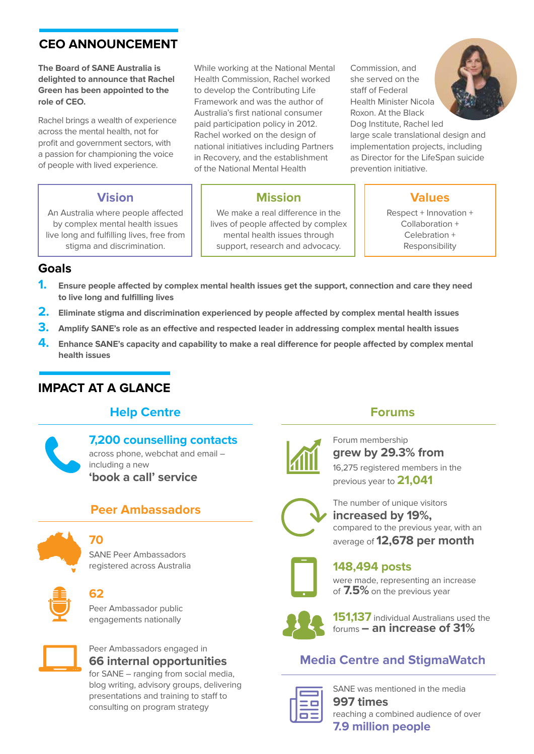## **CEO ANNOUNCEMENT**

**The Board of SANE Australia is delighted to announce that Rachel Green has been appointed to the role of CEO.** 

Rachel brings a wealth of experience across the mental health, not for profit and government sectors, with a passion for championing the voice of people with lived experience.

## **Vision**

An Australia where people affected by complex mental health issues live long and fulfilling lives, free from stigma and discrimination.

While working at the National Mental Health Commission, Rachel worked to develop the Contributing Life Framework and was the author of Australia's first national consumer paid participation policy in 2012. Rachel worked on the design of national initiatives including Partners in Recovery, and the establishment of the National Mental Health

## **Mission**

We make a real difference in the lives of people affected by complex mental health issues through support, research and advocacy.

Commission, and she served on the staff of Federal Health Minister Nicola Roxon. At the Black Dog Institute, Rachel led



large scale translational design and implementation projects, including as Director for the LifeSpan suicide prevention initiative.

## **Values**

Respect + Innovation + Collaboration + Celebration + Responsibility

## **Goals**

- **1. Ensure people affected by complex mental health issues get the support, connection and care they need to live long and fulfilling lives**
- **2. Eliminate stigma and discrimination experienced by people affected by complex mental health issues**
- **3. Amplify SANE's role as an effective and respected leader in addressing complex mental health issues**
- **4. Enhance SANE's capacity and capability to make a real difference for people affected by complex mental health issues**

## **IMPACT AT A GLANCE**

## **Help Centre**

## **7,200 counselling contacts**

across phone, webchat and email – including a new **'book a call' service**

## **Peer Ambassadors**



**70** 

SANE Peer Ambassadors registered across Australia



## **62**

Peer Ambassador public engagements nationally



## Peer Ambassadors engaged in **66 internal opportunities**

for SANE – ranging from social media, blog writing, advisory groups, delivering presentations and training to staff to consulting on program strategy



## Forum membership

**Forums**

**grew by 29.3% from** 16,275 registered members in the previous year to **21,041**



The number of unique visitors **increased by 19%,**  compared to the previous year, with an average of **12,678 per month**



**148,494 posts** were made, representing an increase of **7.5%** on the previous year



**151,137** individual Australians used the forums **– an increase of 31%**

## **Media Centre and StigmaWatch**



SANE was mentioned in the media **997 times** reaching a combined audience of over **7.9 million people**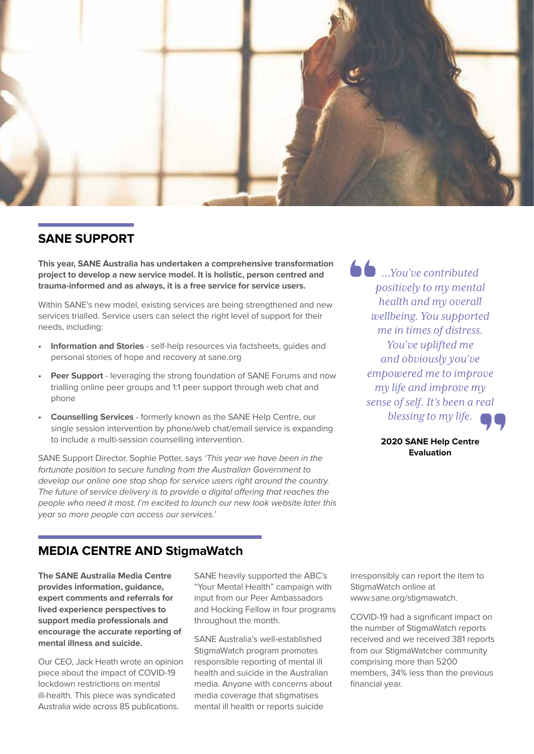

### **SANE SUPPORT**

**This year, SANE Australia has undertaken a comprehensive transformation project to develop a new service model. It is holistic, person centred and trauma-informed and as always, it is a free service for service users.**

Within SANE's new model, existing services are being strengthened and new services trialled. Service users can select the right level of support for their needs, including:

- **• Information and Stories** self-help resources via factsheets, guides and personal stories of hope and recovery at sane.org
- **• Peer Support**  leveraging the strong foundation of SANE Forums and now trialling online peer groups and 1:1 peer support through web chat and phone
- **• Counselling Services** formerly known as the SANE Help Centre, our single session intervention by phone/web chat/email service is expanding to include a multi-session counselling intervention.

SANE Support Director, Sophie Potter, says *'This year we have been in the fortunate position to secure funding from the Australian Government to develop our online one stop shop for service users right around the country. The future of service delivery is to provide a digital offering that reaches the people who need it most. I'm excited to launch our new look website later this year so more people can access our services.'* 

*…You've contributed positively to my mental health and my overall wellbeing. You supported me in times of distress. You've uplifted me and obviously you've empowered me to improve my life and improve my sense of self. It's been a real blessing to my life.*

> **2020 SANE Help Centre Evaluation**

### **MEDIA CENTRE AND StigmaWatch**

**The SANE Australia Media Centre provides information, guidance, expert comments and referrals for lived experience perspectives to support media professionals and encourage the accurate reporting of mental illness and suicide.** 

Our CEO, Jack Heath wrote an opinion piece about the impact of COVID-19 lockdown restrictions on mental ill-health. This piece was syndicated Australia wide across 85 publications.

SANE heavily supported the ABC's "Your Mental Health" campaign with input from our Peer Ambassadors and Hocking Fellow in four programs throughout the month.

SANE Australia's well-established StigmaWatch program promotes responsible reporting of mental ill health and suicide in the Australian media. Anyone with concerns about media coverage that stigmatises mental ill health or reports suicide

irresponsibly can report the item to StigmaWatch online at www.sane.org/stigmawatch.

COVID-19 had a significant impact on the number of StigmaWatch reports received and we received 381 reports from our StigmaWatcher community comprising more than 5200 members, 34% less than the previous financial year.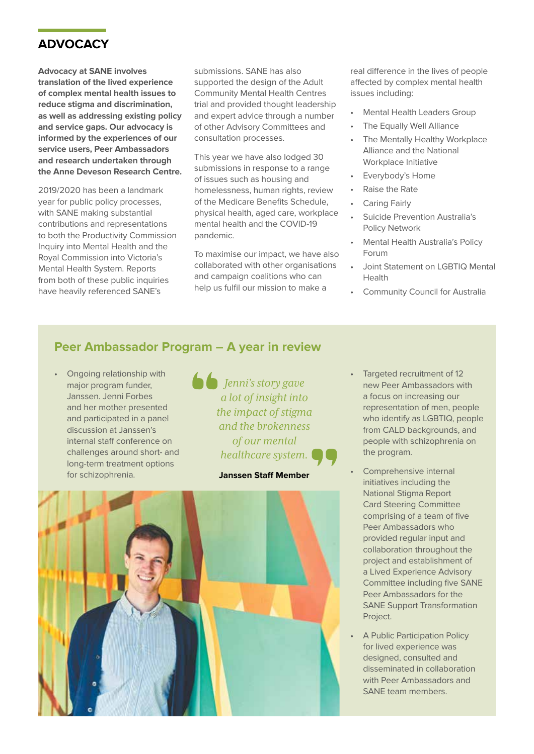## **ADVOCACY**

**Advocacy at SANE involves translation of the lived experience of complex mental health issues to reduce stigma and discrimination, as well as addressing existing policy and service gaps. Our advocacy is informed by the experiences of our service users, Peer Ambassadors and research undertaken through the Anne Deveson Research Centre.**

2019/2020 has been a landmark year for public policy processes, with SANE making substantial contributions and representations to both the Productivity Commission Inquiry into Mental Health and the Royal Commission into Victoria's Mental Health System. Reports from both of these public inquiries have heavily referenced SANE's

submissions. SANE has also supported the design of the Adult Community Mental Health Centres trial and provided thought leadership and expert advice through a number of other Advisory Committees and consultation processes.

This year we have also lodged 30 submissions in response to a range of issues such as housing and homelessness, human rights, review of the Medicare Benefits Schedule, physical health, aged care, workplace mental health and the COVID-19 pandemic.

To maximise our impact, we have also collaborated with other organisations and campaign coalitions who can help us fulfil our mission to make a

real difference in the lives of people affected by complex mental health issues including:

- Mental Health Leaders Group
- The Equally Well Alliance
- The Mentally Healthy Workplace Alliance and the National Workplace Initiative
- Everybody's Home
- Raise the Rate
- Caring Fairly
- Suicide Prevention Australia's Policy Network
- Mental Health Australia's Policy Forum
- Joint Statement on LGBTIQ Mental Health
- **Community Council for Australia**

## **Peer Ambassador Program – A year in review**

• Ongoing relationship with major program funder, Janssen. Jenni Forbes and her mother presented and participated in a panel discussion at Janssen's internal staff conference on challenges around short- and long-term treatment options for schizophrenia.

*Jenni's story gave a lot of insight into the impact of stigma and the brokenness of our mental healthcare system.*

#### **Janssen Staff Member**



- Targeted recruitment of 12 new Peer Ambassadors with a focus on increasing our representation of men, people who identify as LGBTIQ, people from CALD backgrounds, and people with schizophrenia on the program.
- Comprehensive internal initiatives including the National Stigma Report Card Steering Committee comprising of a team of five Peer Ambassadors who provided regular input and collaboration throughout the project and establishment of a Lived Experience Advisory Committee including five SANE Peer Ambassadors for the SANE Support Transformation Project.
- A Public Participation Policy for lived experience was designed, consulted and disseminated in collaboration with Peer Ambassadors and SANE team members.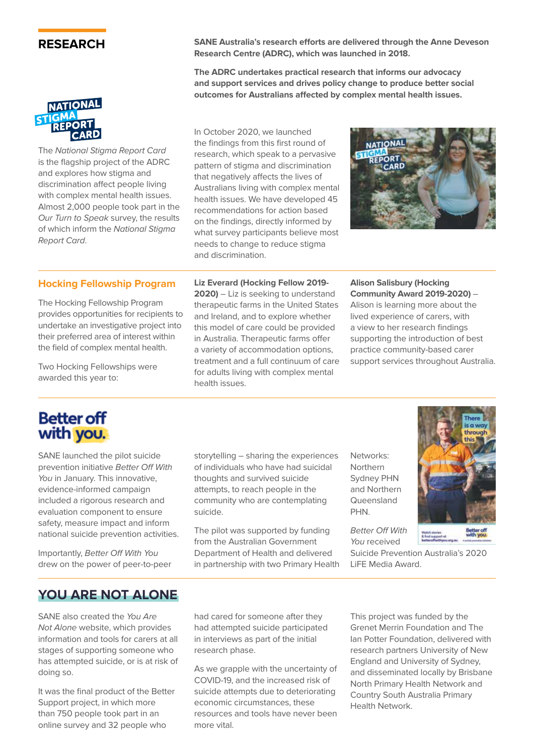### **RESEARCH**



The *National Stigma Report Card*  is the flagship project of the ADRC and explores how stigma and discrimination affect people living with complex mental health issues. Almost 2,000 people took part in the *Our Turn to Speak* survey, the results of which inform the *National Stigma Report Card*.

**SANE Australia's research efforts are delivered through the Anne Deveson Research Centre (ADRC), which was launched in 2018.** 

**The ADRC undertakes practical research that informs our advocacy and support services and drives policy change to produce better social outcomes for Australians affected by complex mental health issues.**

In October 2020, we launched the findings from this first round of research, which speak to a pervasive pattern of stigma and discrimination that negatively affects the lives of Australians living with complex mental health issues. We have developed 45 recommendations for action based on the findings, directly informed by what survey participants believe most needs to change to reduce stigma and discrimination.



#### **Hocking Fellowship Program**

The Hocking Fellowship Program provides opportunities for recipients to undertake an investigative project into their preferred area of interest within the field of complex mental health.

Two Hocking Fellowships were awarded this year to:

**Liz Everard (Hocking Fellow 2019- 2020)** – Liz is seeking to understand

therapeutic farms in the United States and Ireland, and to explore whether this model of care could be provided in Australia. Therapeutic farms offer a variety of accommodation options, treatment and a full continuum of care for adults living with complex mental health issues.

**Alison Salisbury (Hocking Community Award 2019-2020)** – Alison is learning more about the lived experience of carers, with a view to her research findings supporting the introduction of best practice community-based carer support services throughout Australia.

## **Better off** with you.

SANE launched the pilot suicide prevention initiative *Better Off With You* in January. This innovative, evidence-informed campaign included a rigorous research and evaluation component to ensure safety, measure impact and inform national suicide prevention activities.

Importantly, *Better Off With You* drew on the power of peer-to-peer storytelling – sharing the experiences of individuals who have had suicidal thoughts and survived suicide attempts, to reach people in the community who are contemplating suicide.

The pilot was supported by funding from the Australian Government Department of Health and delivered in partnership with two Primary Health Networks: Northern Sydney PHN and Northern Queensland PHN.

*Better Off With You* received

Suicide Prevention Australia's 2020 LiFE Media Award.

## **YOU ARE NOT ALONE**

SANE also created the *You Are Not Alone* website, which provides information and tools for carers at all stages of supporting someone who has attempted suicide, or is at risk of doing so.

It was the final product of the Better Support project, in which more than 750 people took part in an online survey and 32 people who

had cared for someone after they had attempted suicide participated in interviews as part of the initial research phase.

As we grapple with the uncertainty of COVID-19, and the increased risk of suicide attempts due to deteriorating economic circumstances, these resources and tools have never been more vital.

This project was funded by the Grenet Merrin Foundation and The Ian Potter Foundation, delivered with research partners University of New England and University of Sydney, and disseminated locally by Brisbane North Primary Health Network and Country South Australia Primary Health Network.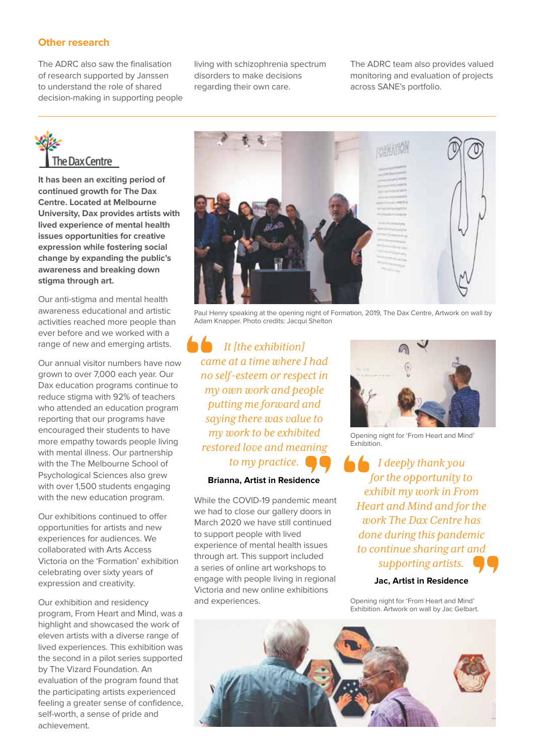#### **Other research**

The ADRC also saw the finalisation of research supported by Janssen to understand the role of shared decision-making in supporting people living with schizophrenia spectrum disorders to make decisions regarding their own care.

The ADRC team also provides valued monitoring and evaluation of projects across SANE's portfolio.

# The Dax Centre

**It has been an exciting period of continued growth for The Dax Centre. Located at Melbourne University, Dax provides artists with lived experience of mental health issues opportunities for creative expression while fostering social change by expanding the public's awareness and breaking down stigma through art.** 

Our anti-stigma and mental health awareness educational and artistic activities reached more people than ever before and we worked with a range of new and emerging artists.

Our annual visitor numbers have now grown to over 7,000 each year. Our Dax education programs continue to reduce stigma with 92% of teachers who attended an education program reporting that our programs have encouraged their students to have more empathy towards people living with mental illness. Our partnership with the The Melbourne School of Psychological Sciences also grew with over 1,500 students engaging with the new education program.

Our exhibitions continued to offer opportunities for artists and new experiences for audiences. We collaborated with Arts Access Victoria on the 'Formation' exhibition celebrating over sixty years of expression and creativity.

Our exhibition and residency program, From Heart and Mind, was a highlight and showcased the work of eleven artists with a diverse range of lived experiences. This exhibition was the second in a pilot series supported by The Vizard Foundation. An evaluation of the program found that the participating artists experienced feeling a greater sense of confidence, self-worth, a sense of pride and achievement.



Paul Henry speaking at the opening night of Formation, 2019, The Dax Centre, Artwork on wall by Adam Knapper. Photo credits: Jacqui Shelton

*It [the exhibition] came at a time where I had no self-esteem or respect in my own work and people putting me forward and saying there was value to my work to be exhibited restored love and meaning to my practice.*

#### **Brianna, Artist in Residence**

While the COVID-19 pandemic meant we had to close our gallery doors in March 2020 we have still continued to support people with lived experience of mental health issues through art. This support included a series of online art workshops to engage with people living in regional Victoria and new online exhibitions and experiences.



Opening night for 'From Heart and Mind' Exhibition.

*I deeply thank you for the opportunity to exhibit my work in From Heart and Mind and for the work The Dax Centre has done during this pandemic to continue sharing art and supporting artists.*

**Jac, Artist in Residence**

Opening night for 'From Heart and Mind' Exhibition. Artwork on wall by Jac Gelbart.